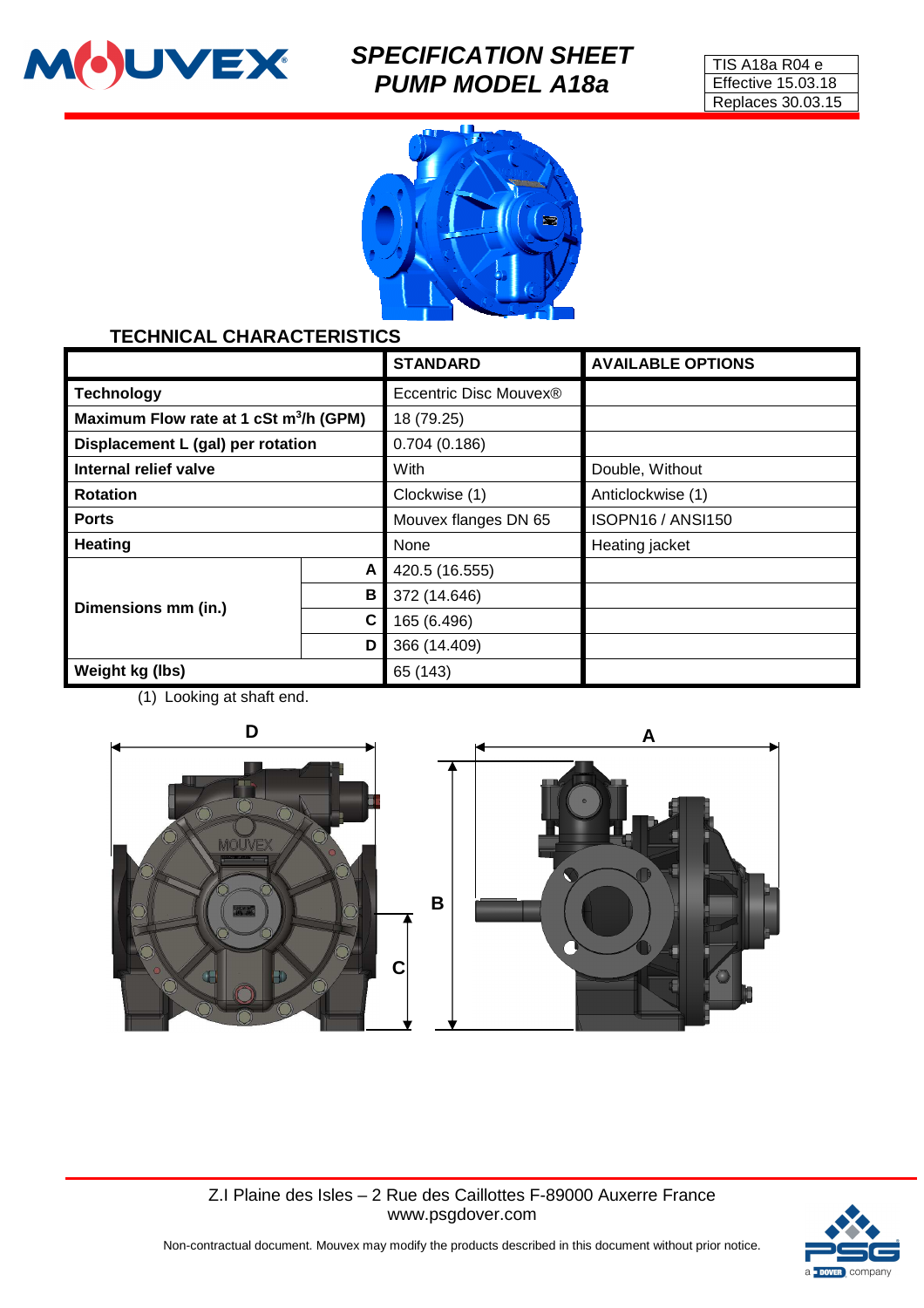

# **SPECIFICATION SHEET PUMP MODEL A18a**





### **TECHNICAL CHARACTERISTICS**

|                                                    |   | <b>STANDARD</b>        | <b>AVAILABLE OPTIONS</b> |
|----------------------------------------------------|---|------------------------|--------------------------|
| <b>Technology</b>                                  |   | Eccentric Disc Mouvex® |                          |
| Maximum Flow rate at 1 cSt m <sup>3</sup> /h (GPM) |   | 18 (79.25)             |                          |
| Displacement L (gal) per rotation                  |   | 0.704(0.186)           |                          |
| Internal relief valve                              |   | With                   | Double, Without          |
| <b>Rotation</b>                                    |   | Clockwise (1)          | Anticlockwise (1)        |
| <b>Ports</b>                                       |   | Mouvex flanges DN 65   | <b>ISOPN16 / ANSI150</b> |
| <b>Heating</b>                                     |   | None                   | Heating jacket           |
|                                                    | A | 420.5 (16.555)         |                          |
| Dimensions mm (in.)                                | В | 372 (14.646)           |                          |
|                                                    | C | 165 (6.496)            |                          |
|                                                    | D | 366 (14.409)           |                          |
| Weight kg (lbs)                                    |   | 65 (143)               |                          |

(1) Looking at shaft end.



Z.I Plaine des Isles – 2 Rue des Caillottes F-89000 Auxerre France www.psgdover.com